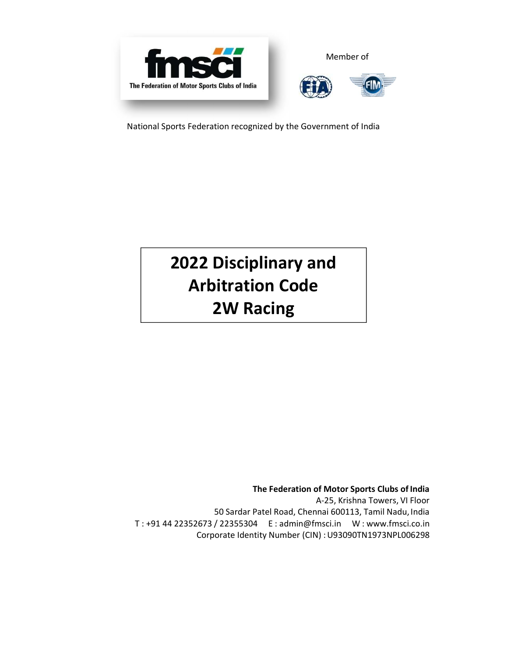

National Sports Federation recognized by the Government of India

# **2022 Disciplinary and Arbitration Code 2W Racing**

**The Federation of Motor Sports Clubs of India**  A-25, Krishna Towers, VI Floor 50 Sardar Patel Road, Chennai 600113, Tamil Nadu, India T : +91 44 22352673 / 22355304 E : admin@fmsci.in W : www.fmsci.co.in Corporate Identity Number (CIN) : U93090TN1973NPL006298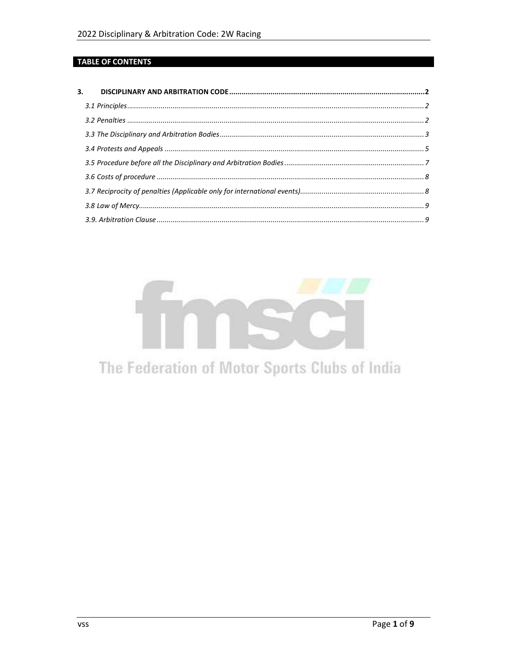# **TABLE OF CONTENTS**

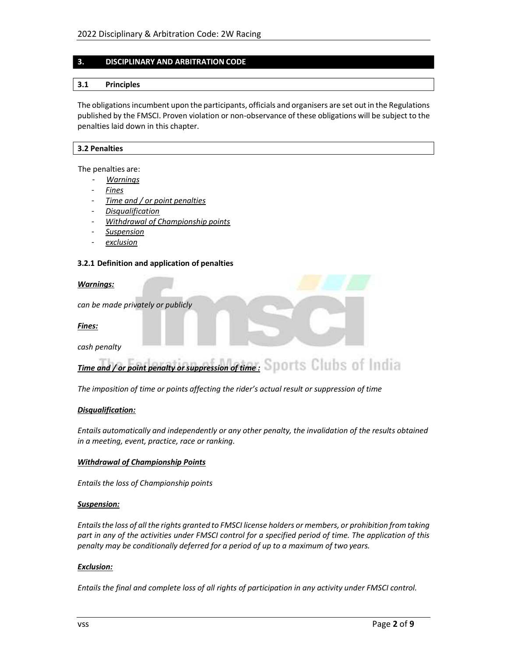# **3. DISCIPLINARY AND ARBITRATION CODE**

#### **3.1 Principles**

The obligations incumbent upon the participants, officials and organisers are set out in the Regulations published by the FMSCI. Proven violation or non-observance of these obligations will be subject to the penalties laid down in this chapter.

#### **3.2 Penalties**

The penalties are:

- *Warnings*
- *Fines*
- *Time and / or point penalties*
- *Disqualification*
- *Withdrawal of Championship points*
- *Suspension*
- *exclusion*

#### **3.2.1 Definition and application of penalties**

#### *Warnings:*

*can be made privately or publicly* 

*Fines:* 

*cash penalty* 

# *Time and / or point penalty or suppression of time :*

*The imposition of time or points affecting the rider's actual result or suppression of time* 

#### *Disqualification:*

*Entails automatically and independently or any other penalty, the invalidation of the results obtained in a meeting, event, practice, race or ranking.* 

#### *Withdrawal of Championship Points*

*Entails the loss of Championship points* 

#### *Suspension:*

*Entails the loss of all the rights granted to FMSCI license holders or members, or prohibition from taking part in any of the activities under FMSCI control for a specified period of time. The application of this penalty may be conditionally deferred for a period of up to a maximum of two years.* 

# *Exclusion:*

*Entails the final and complete loss of all rights of participation in any activity under FMSCI control.*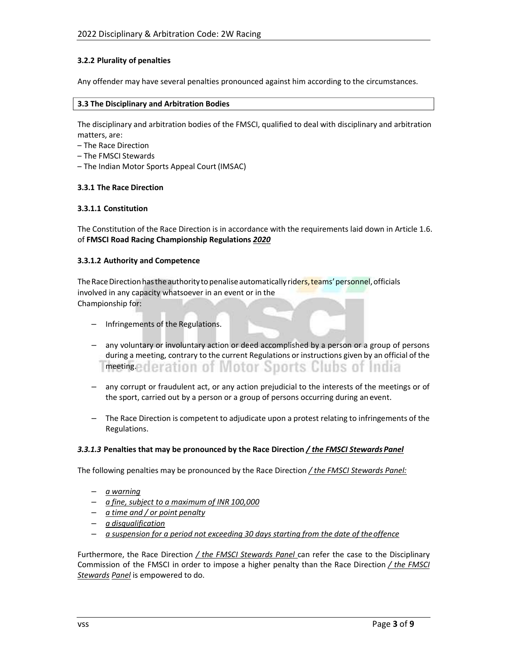# **3.2.2 Plurality of penalties**

Any offender may have several penalties pronounced against him according to the circumstances.

#### **3.3 The Disciplinary and Arbitration Bodies**

The disciplinary and arbitration bodies of the FMSCI, qualified to deal with disciplinary and arbitration matters, are:

- The Race Direction
- The FMSCI Stewards
- The Indian Motor Sports Appeal Court (IMSAC)

#### **3.3.1 The Race Direction**

#### **3.3.1.1 Constitution**

The Constitution of the Race Direction is in accordance with the requirements laid down in Article 1.6. of **FMSCI Road Racing Championship Regulations** *2020* 

#### **3.3.1.2 Authority and Competence**

The Race Direction has the authority to penalise automatically riders, teams' personnel, officials involved in any capacity whatsoever in an event or in the Championship for:

- Infringements of the Regulations.
- any voluntary or involuntary action or deed accomplished by a person or a group of persons during a meeting, contrary to the current Regulations or instructions given by an official of the meeting.ederation of Motor Sports Clubs of India
- any corrupt or fraudulent act, or any action prejudicial to the interests of the meetings or of the sport, carried out by a person or a group of persons occurring during an event.
- The Race Direction is competent to adjudicate upon a protest relating to infringements of the Regulations.

#### *3.3.1.3* **Penalties that may be pronounced by the Race Direction** */ the FMSCI Stewards Panel*

The following penalties may be pronounced by the Race Direction */ the FMSCI Stewards Panel:* 

- *a warning*
- *a fine, subject to a maximum of INR 100,000*
- *a time and / or point penalty*
- *a disqualification*
- *a suspension for a period not exceeding 30 days starting from the date of the offence*

Furthermore, the Race Direction */ the FMSCI Stewards Panel* can refer the case to the Disciplinary Commission of the FMSCI in order to impose a higher penalty than the Race Direction */ the FMSCI Stewards Panel* is empowered to do.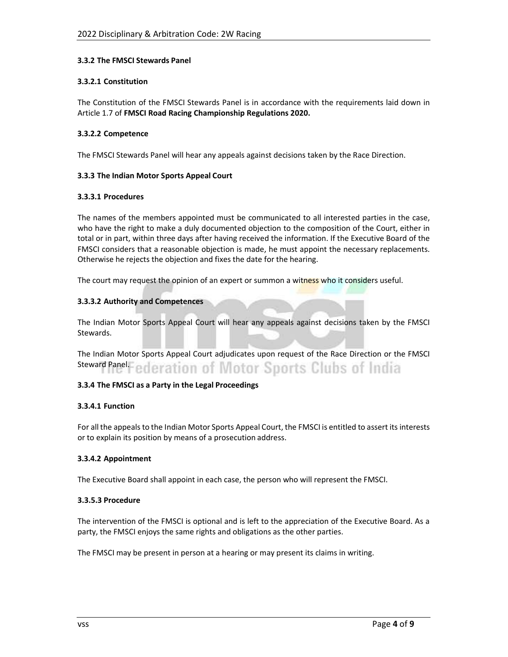# **3.3.2 The FMSCI Stewards Panel**

# **3.3.2.1 Constitution**

The Constitution of the FMSCI Stewards Panel is in accordance with the requirements laid down in Article 1.7 of **FMSCI Road Racing Championship Regulations 2020.** 

# **3.3.2.2 Competence**

The FMSCI Stewards Panel will hear any appeals against decisions taken by the Race Direction.

# **3.3.3 The Indian Motor Sports Appeal Court**

# **3.3.3.1 Procedures**

The names of the members appointed must be communicated to all interested parties in the case, who have the right to make a duly documented objection to the composition of the Court, either in total or in part, within three days after having received the information. If the Executive Board of the FMSCI considers that a reasonable objection is made, he must appoint the necessary replacements. Otherwise he rejects the objection and fixes the date for the hearing.

The court may request the opinion of an expert or summon a witness who it considers useful.

# **3.3.3.2 Authority and Competences**

The Indian Motor Sports Appeal Court will hear any appeals against decisions taken by the FMSCI Stewards.

The Indian Motor Sports Appeal Court adjudicates upon request of the Race Direction or the FMSCI **Steward Panel.** *ederation of Motor Sports Clubs of India* 

# **3.3.4 The FMSCI as a Party in the Legal Proceedings**

# **3.3.4.1 Function**

For all the appeals to the Indian Motor Sports Appeal Court, the FMSCI is entitled to assert its interests or to explain its position by means of a prosecution address.

# **3.3.4.2 Appointment**

The Executive Board shall appoint in each case, the person who will represent the FMSCI.

# **3.3.5.3 Procedure**

The intervention of the FMSCI is optional and is left to the appreciation of the Executive Board. As a party, the FMSCI enjoys the same rights and obligations as the other parties.

The FMSCI may be present in person at a hearing or may present its claims in writing.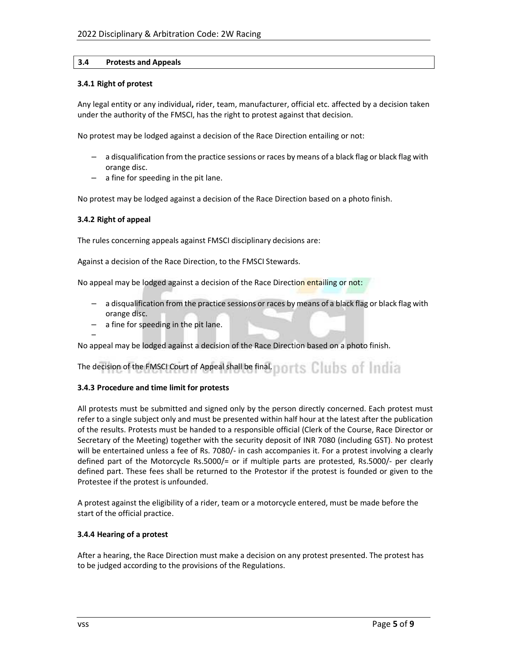# **3.4 Protests and Appeals**

#### **3.4.1 Right of protest**

Any legal entity or any individual**,** rider, team, manufacturer, official etc. affected by a decision taken under the authority of the FMSCI, has the right to protest against that decision.

No protest may be lodged against a decision of the Race Direction entailing or not:

- a disqualification from the practice sessions or races by means of a black flag or black flag with orange disc.
- a fine for speeding in the pit lane.

No protest may be lodged against a decision of the Race Direction based on a photo finish.

#### **3.4.2 Right of appeal**

–

The rules concerning appeals against FMSCI disciplinary decisions are:

Against a decision of the Race Direction, to the FMSCI Stewards.

No appeal may be lodged against a decision of the Race Direction entailing or not:

- a disqualification from the practice sessions or races by means of a black flag or black flag with orange disc.
- a fine for speeding in the pit lane.

No appeal may be lodged against a decision of the Race Direction based on a photo finish.

# The decision of the FMSCI Court of Appeal shall be final. The state of the state of the state of the state of

# **3.4.3 Procedure and time limit for protests**

All protests must be submitted and signed only by the person directly concerned. Each protest must refer to a single subject only and must be presented within half hour at the latest after the publication of the results. Protests must be handed to a responsible official (Clerk of the Course, Race Director or Secretary of the Meeting) together with the security deposit of INR 7080 (including GST). No protest will be entertained unless a fee of Rs. 7080/- in cash accompanies it. For a protest involving a clearly defined part of the Motorcycle Rs.5000/= or if multiple parts are protested, Rs.5000/- per clearly defined part. These fees shall be returned to the Protestor if the protest is founded or given to the Protestee if the protest is unfounded.

A protest against the eligibility of a rider, team or a motorcycle entered, must be made before the start of the official practice.

# **3.4.4 Hearing of a protest**

After a hearing, the Race Direction must make a decision on any protest presented. The protest has to be judged according to the provisions of the Regulations.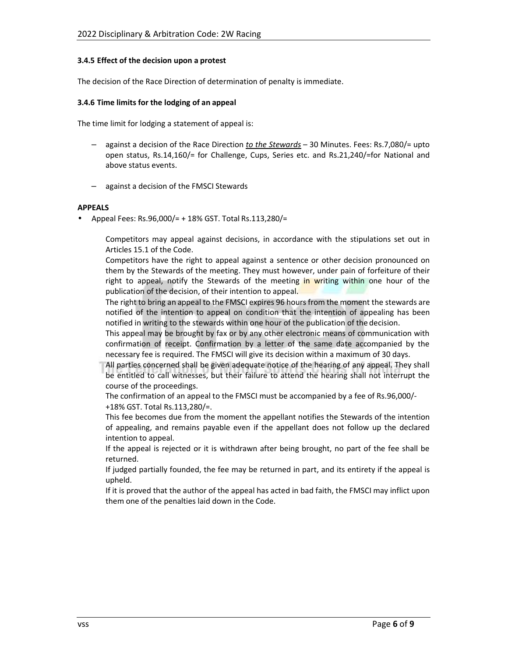#### **3.4.5 Effect of the decision upon a protest**

The decision of the Race Direction of determination of penalty is immediate.

#### **3.4.6 Time limits for the lodging of an appeal**

The time limit for lodging a statement of appeal is:

- against a decision of the Race Direction *to the Stewards*  30 Minutes. Fees: Rs.7,080/= upto open status, Rs.14,160/= for Challenge, Cups, Series etc. and Rs.21,240/=for National and above status events.
- against a decision of the FMSCI Stewards

#### **APPEALS**

• Appeal Fees: Rs.96,000/= + 18% GST. Total Rs.113,280/=

Competitors may appeal against decisions, in accordance with the stipulations set out in Articles 15.1 of the Code.

Competitors have the right to appeal against a sentence or other decision pronounced on them by the Stewards of the meeting. They must however, under pain of forfeiture of their right to appeal, notify the Stewards of the meeting in writing within one hour of the publication of the decision, of their intention to appeal.

The right to bring an appeal to the FMSCI expires 96 hours from the moment the stewards are notified of the intention to appeal on condition that the intention of appealing has been notified in writing to the stewards within one hour of the publication of the decision.

This appeal may be brought by fax or by any other electronic means of communication with confirmation of receipt. Confirmation by a letter of the same date accompanied by the necessary fee is required. The FMSCI will give its decision within a maximum of 30 days.

All parties concerned shall be given adequate notice of the hearing of any appeal. They shall be entitled to call witnesses, but their failure to attend the hearing shall not interrupt the course of the proceedings.

The confirmation of an appeal to the FMSCI must be accompanied by a fee of Rs.96,000/- +18% GST. Total Rs.113,280/=.

This fee becomes due from the moment the appellant notifies the Stewards of the intention of appealing, and remains payable even if the appellant does not follow up the declared intention to appeal.

If the appeal is rejected or it is withdrawn after being brought, no part of the fee shall be returned.

If judged partially founded, the fee may be returned in part, and its entirety if the appeal is upheld.

If it is proved that the author of the appeal has acted in bad faith, the FMSCI may inflict upon them one of the penalties laid down in the Code.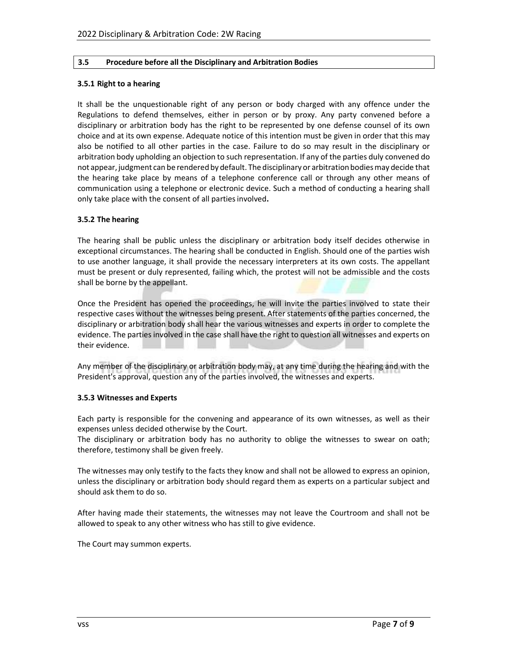# **3.5 Procedure before all the Disciplinary and Arbitration Bodies**

#### **3.5.1 Right to a hearing**

It shall be the unquestionable right of any person or body charged with any offence under the Regulations to defend themselves, either in person or by proxy. Any party convened before a disciplinary or arbitration body has the right to be represented by one defense counsel of its own choice and at its own expense. Adequate notice of this intention must be given in order that this may also be notified to all other parties in the case. Failure to do so may result in the disciplinary or arbitration body upholding an objection to such representation. If any of the parties duly convened do not appear, judgment can be rendered by default. The disciplinary or arbitration bodies may decide that the hearing take place by means of a telephone conference call or through any other means of communication using a telephone or electronic device. Such a method of conducting a hearing shall only take place with the consent of all parties involved**.** 

# **3.5.2 The hearing**

The hearing shall be public unless the disciplinary or arbitration body itself decides otherwise in exceptional circumstances. The hearing shall be conducted in English. Should one of the parties wish to use another language, it shall provide the necessary interpreters at its own costs. The appellant must be present or duly represented, failing which, the protest will not be admissible and the costs shall be borne by the appellant.

Once the President has opened the proceedings, he will invite the parties involved to state their respective cases without the witnesses being present. After statements of the parties concerned, the disciplinary or arbitration body shall hear the various witnesses and experts in order to complete the evidence. The parties involved in the case shall have the right to question all witnesses and experts on their evidence.

Any member of the disciplinary or arbitration body may, at any time during the hearing and with the President's approval, question any of the parties involved, the witnesses and experts.

# **3.5.3 Witnesses and Experts**

Each party is responsible for the convening and appearance of its own witnesses, as well as their expenses unless decided otherwise by the Court.

The disciplinary or arbitration body has no authority to oblige the witnesses to swear on oath; therefore, testimony shall be given freely.

The witnesses may only testify to the facts they know and shall not be allowed to express an opinion, unless the disciplinary or arbitration body should regard them as experts on a particular subject and should ask them to do so.

After having made their statements, the witnesses may not leave the Courtroom and shall not be allowed to speak to any other witness who has still to give evidence.

The Court may summon experts.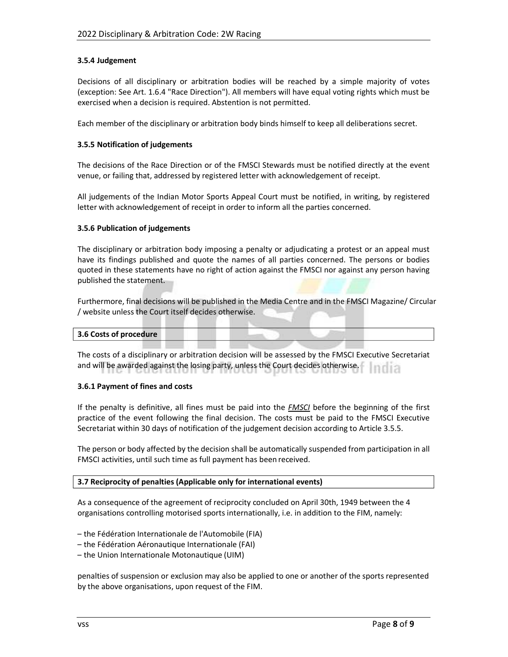# **3.5.4 Judgement**

Decisions of all disciplinary or arbitration bodies will be reached by a simple majority of votes (exception: See Art. 1.6.4 "Race Direction"). All members will have equal voting rights which must be exercised when a decision is required. Abstention is not permitted.

Each member of the disciplinary or arbitration body binds himself to keep all deliberations secret.

#### **3.5.5 Notification of judgements**

The decisions of the Race Direction or of the FMSCI Stewards must be notified directly at the event venue, or failing that, addressed by registered letter with acknowledgement of receipt.

All judgements of the Indian Motor Sports Appeal Court must be notified, in writing, by registered letter with acknowledgement of receipt in order to inform all the parties concerned.

# **3.5.6 Publication of judgements**

The disciplinary or arbitration body imposing a penalty or adjudicating a protest or an appeal must have its findings published and quote the names of all parties concerned. The persons or bodies quoted in these statements have no right of action against the FMSCI nor against any person having published the statement.

Furthermore, final decisions will be published in the Media Centre and in the FMSCI Magazine/ Circular / website unless the Court itself decides otherwise.

#### **3.6 Costs of procedure**

The costs of a disciplinary or arbitration decision will be assessed by the FMSCI Executive Secretariat and will be awarded against the losing party, unless the Court decides otherwise.

#### **3.6.1 Payment of fines and costs**

If the penalty is definitive, all fines must be paid into the *FMSCI* before the beginning of the first practice of the event following the final decision. The costs must be paid to the FMSCI Executive Secretariat within 30 days of notification of the judgement decision according to Article 3.5.5.

The person or body affected by the decision shall be automatically suspended from participation in all FMSCI activities, until such time as full payment has been received.

#### **3.7 Reciprocity of penalties (Applicable only for international events)**

As a consequence of the agreement of reciprocity concluded on April 30th, 1949 between the 4 organisations controlling motorised sports internationally, i.e. in addition to the FIM, namely:

- the Fédération Internationale de l'Automobile (FIA)
- the Fédération Aéronautique Internationale (FAI)
- the Union Internationale Motonautique (UIM)

penalties of suspension or exclusion may also be applied to one or another of the sports represented by the above organisations, upon request of the FIM.